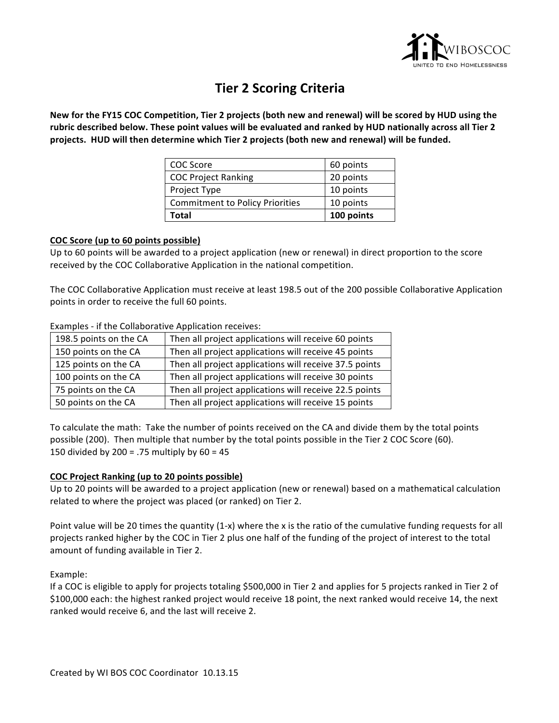

# **Tier 2 Scoring Criteria**

New for the FY15 COC Competition, Tier 2 projects (both new and renewal) will be scored by HUD using the rubric described below. These point values will be evaluated and ranked by HUD nationally across all Tier 2 projects. HUD will then determine which Tier 2 projects (both new and renewal) will be funded.

| COC Score                              | 60 points  |
|----------------------------------------|------------|
| <b>COC Project Ranking</b>             | 20 points  |
| Project Type                           | 10 points  |
| <b>Commitment to Policy Priorities</b> | 10 points  |
| Total                                  | 100 points |

### **COC Score (up to 60 points possible)**

Up to 60 points will be awarded to a project application (new or renewal) in direct proportion to the score received by the COC Collaborative Application in the national competition.

The COC Collaborative Application must receive at least 198.5 out of the 200 possible Collaborative Application points in order to receive the full 60 points.

| 198.5 points on the CA | Then all project applications will receive 60 points   |
|------------------------|--------------------------------------------------------|
| 150 points on the CA   | Then all project applications will receive 45 points   |
| 125 points on the CA   | Then all project applications will receive 37.5 points |
| 100 points on the CA   | Then all project applications will receive 30 points   |
| 75 points on the CA    | Then all project applications will receive 22.5 points |
| 50 points on the CA    | Then all project applications will receive 15 points   |

Examples - if the Collaborative Application receives:

To calculate the math: Take the number of points received on the CA and divide them by the total points possible (200). Then multiple that number by the total points possible in the Tier 2 COC Score (60). 150 divided by  $200 = .75$  multiply by  $60 = 45$ 

## **COC Project Ranking (up to 20 points possible)**

Up to 20 points will be awarded to a project application (new or renewal) based on a mathematical calculation related to where the project was placed (or ranked) on Tier 2.

Point value will be 20 times the quantity  $(1-x)$  where the x is the ratio of the cumulative funding requests for all projects ranked higher by the COC in Tier 2 plus one half of the funding of the project of interest to the total amount of funding available in Tier 2.

Example:

If a COC is eligible to apply for projects totaling \$500,000 in Tier 2 and applies for 5 projects ranked in Tier 2 of \$100,000 each: the highest ranked project would receive 18 point, the next ranked would receive 14, the next ranked would receive 6, and the last will receive 2.